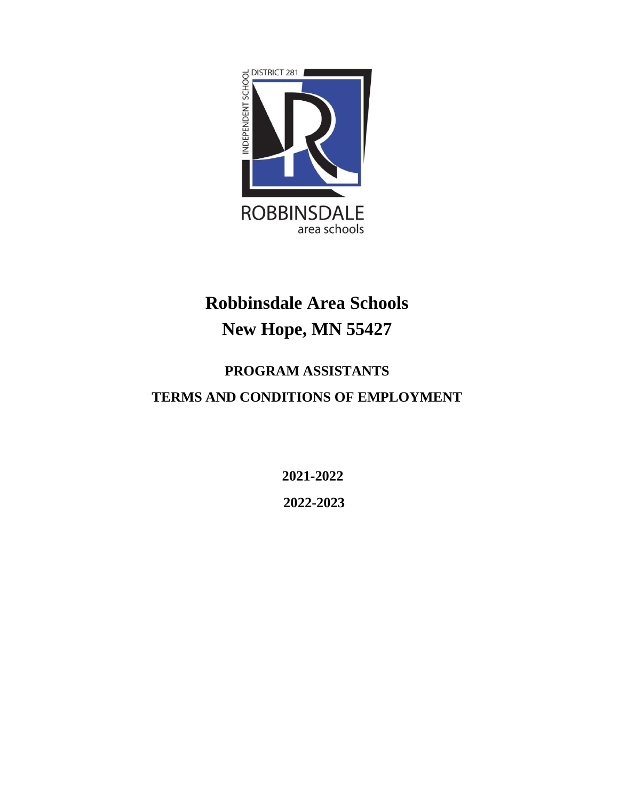

# **Robbinsdale Area Schools New Hope, MN 55427**

## **PROGRAM ASSISTANTS**

## **TERMS AND CONDITIONS OF EMPLOYMENT**

**2021-2022 2022-2023**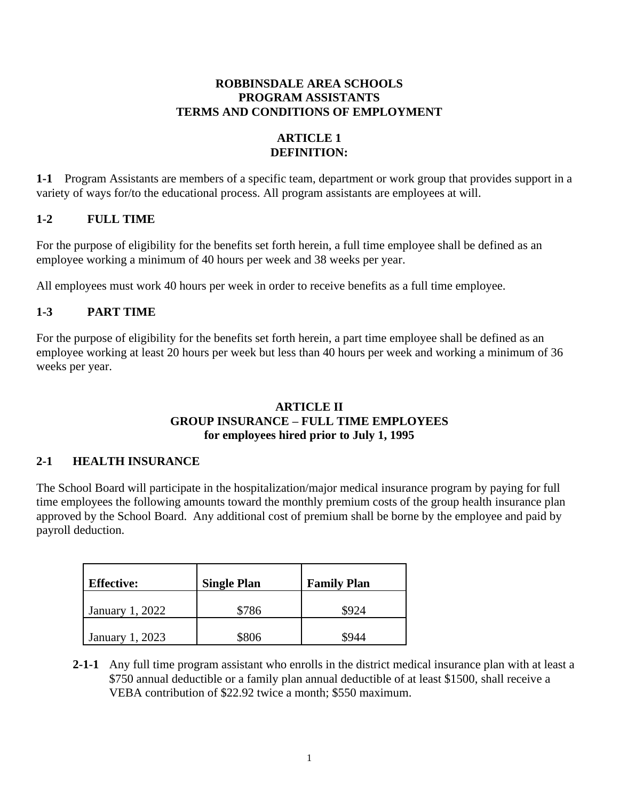## **ROBBINSDALE AREA SCHOOLS PROGRAM ASSISTANTS TERMS AND CONDITIONS OF EMPLOYMENT**

## **ARTICLE 1 DEFINITION:**

**1-1** Program Assistants are members of a specific team, department or work group that provides support in a variety of ways for/to the educational process. All program assistants are employees at will.

## **1-2 FULL TIME**

For the purpose of eligibility for the benefits set forth herein, a full time employee shall be defined as an employee working a minimum of 40 hours per week and 38 weeks per year.

All employees must work 40 hours per week in order to receive benefits as a full time employee.

## **1-3 PART TIME**

For the purpose of eligibility for the benefits set forth herein, a part time employee shall be defined as an employee working at least 20 hours per week but less than 40 hours per week and working a minimum of 36 weeks per year.

## **ARTICLE II GROUP INSURANCE – FULL TIME EMPLOYEES for employees hired prior to July 1, 1995**

## **2-1 HEALTH INSURANCE**

The School Board will participate in the hospitalization/major medical insurance program by paying for full time employees the following amounts toward the monthly premium costs of the group health insurance plan approved by the School Board. Any additional cost of premium shall be borne by the employee and paid by payroll deduction.

| <b>Effective:</b> | <b>Single Plan</b> | <b>Family Plan</b> |
|-------------------|--------------------|--------------------|
| January 1, 2022   | \$786              | 8924               |
| January 1, 2023   | \$806              |                    |

**2-1-1** Any full time program assistant who enrolls in the district medical insurance plan with at least a \$750 annual deductible or a family plan annual deductible of at least \$1500, shall receive a VEBA contribution of \$22.92 twice a month; \$550 maximum.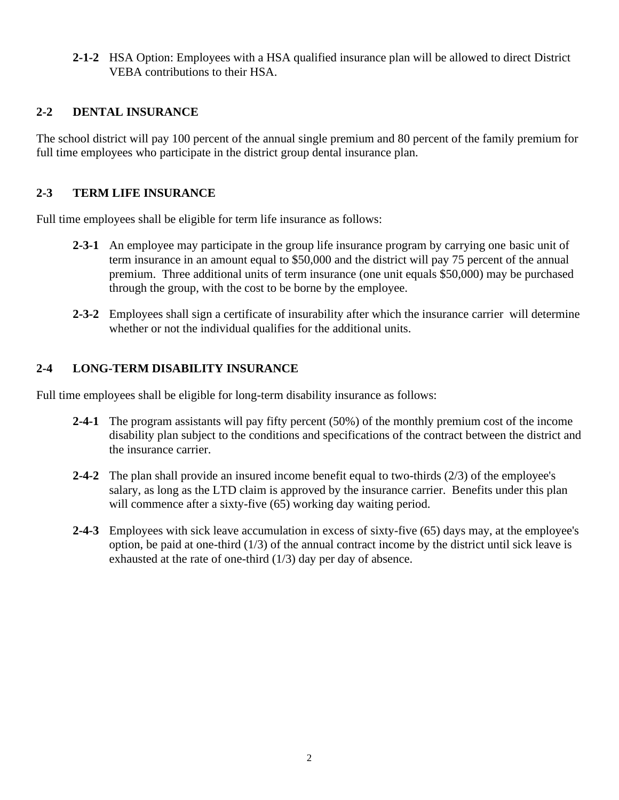**2-1-2** HSA Option: Employees with a HSA qualified insurance plan will be allowed to direct District VEBA contributions to their HSA.

## **2-2 DENTAL INSURANCE**

The school district will pay 100 percent of the annual single premium and 80 percent of the family premium for full time employees who participate in the district group dental insurance plan.

## **2-3 TERM LIFE INSURANCE**

Full time employees shall be eligible for term life insurance as follows:

- **2-3-1** An employee may participate in the group life insurance program by carrying one basic unit of term insurance in an amount equal to \$50,000 and the district will pay 75 percent of the annual premium. Three additional units of term insurance (one unit equals \$50,000) may be purchased through the group, with the cost to be borne by the employee.
- **2-3-2** Employees shall sign a certificate of insurability after which the insurance carrier will determine whether or not the individual qualifies for the additional units.

## **2-4 LONG-TERM DISABILITY INSURANCE**

Full time employees shall be eligible for long-term disability insurance as follows:

- **2-4-1** The program assistants will pay fifty percent (50%) of the monthly premium cost of the income disability plan subject to the conditions and specifications of the contract between the district and the insurance carrier.
- **2-4-2** The plan shall provide an insured income benefit equal to two-thirds (2/3) of the employee's salary, as long as the LTD claim is approved by the insurance carrier. Benefits under this plan will commence after a sixty-five (65) working day waiting period.
- **2-4-3** Employees with sick leave accumulation in excess of sixty-five (65) days may, at the employee's option, be paid at one-third (1/3) of the annual contract income by the district until sick leave is exhausted at the rate of one-third (1/3) day per day of absence.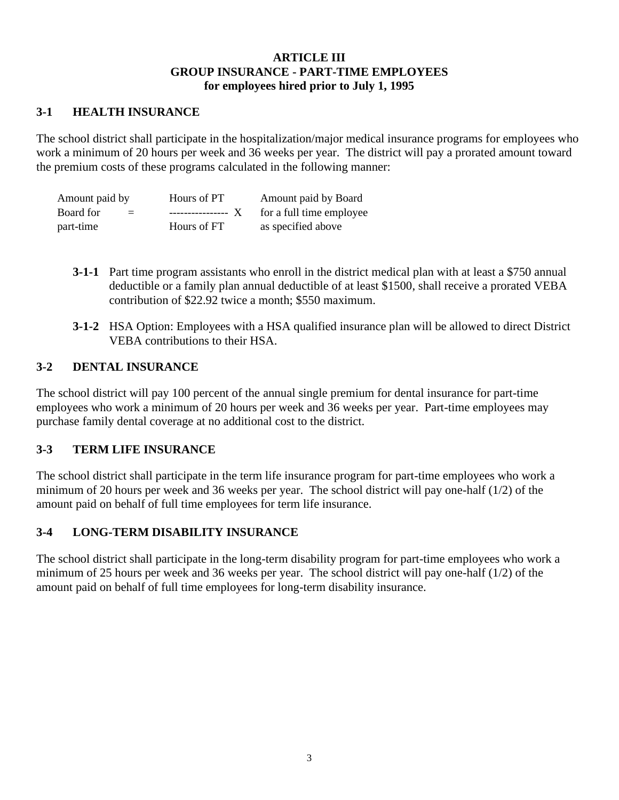## **ARTICLE III GROUP INSURANCE - PART-TIME EMPLOYEES for employees hired prior to July 1, 1995**

## **3-1 HEALTH INSURANCE**

The school district shall participate in the hospitalization/major medical insurance programs for employees who work a minimum of 20 hours per week and 36 weeks per year. The district will pay a prorated amount toward the premium costs of these programs calculated in the following manner:

| Amount paid by                         | Hours of PT         | Amount paid by Board     |  |  |
|----------------------------------------|---------------------|--------------------------|--|--|
| Board for<br>$\mathbf{r} = \mathbf{r}$ | ----------------- X | for a full time employee |  |  |
| part-time                              | Hours of FT         | as specified above       |  |  |

- **3-1-1** Part time program assistants who enroll in the district medical plan with at least a \$750 annual deductible or a family plan annual deductible of at least \$1500, shall receive a prorated VEBA contribution of \$22.92 twice a month; \$550 maximum.
- **3-1-2** HSA Option: Employees with a HSA qualified insurance plan will be allowed to direct District VEBA contributions to their HSA.

## **3-2 DENTAL INSURANCE**

The school district will pay 100 percent of the annual single premium for dental insurance for part-time employees who work a minimum of 20 hours per week and 36 weeks per year. Part-time employees may purchase family dental coverage at no additional cost to the district.

## **3-3 TERM LIFE INSURANCE**

The school district shall participate in the term life insurance program for part-time employees who work a minimum of 20 hours per week and 36 weeks per year. The school district will pay one-half (1/2) of the amount paid on behalf of full time employees for term life insurance.

## **3-4 LONG-TERM DISABILITY INSURANCE**

The school district shall participate in the long-term disability program for part-time employees who work a minimum of 25 hours per week and 36 weeks per year. The school district will pay one-half (1/2) of the amount paid on behalf of full time employees for long-term disability insurance.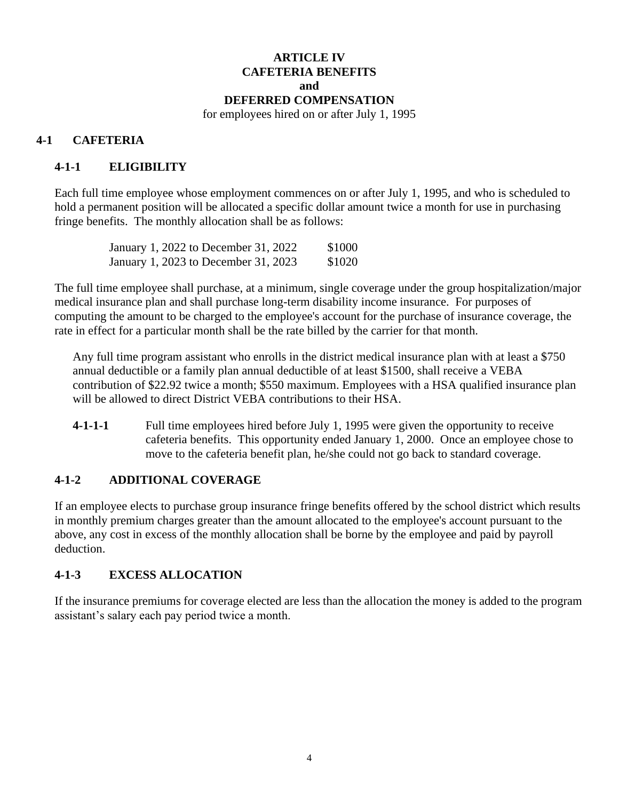## **ARTICLE IV CAFETERIA BENEFITS and DEFERRED COMPENSATION**

for employees hired on or after July 1, 1995

## **4-1 CAFETERIA**

## **4-1-1 ELIGIBILITY**

Each full time employee whose employment commences on or after July 1, 1995, and who is scheduled to hold a permanent position will be allocated a specific dollar amount twice a month for use in purchasing fringe benefits. The monthly allocation shall be as follows:

| January 1, 2022 to December 31, 2022 | \$1000 |
|--------------------------------------|--------|
| January 1, 2023 to December 31, 2023 | \$1020 |

The full time employee shall purchase, at a minimum, single coverage under the group hospitalization/major medical insurance plan and shall purchase long-term disability income insurance. For purposes of computing the amount to be charged to the employee's account for the purchase of insurance coverage, the rate in effect for a particular month shall be the rate billed by the carrier for that month.

Any full time program assistant who enrolls in the district medical insurance plan with at least a \$750 annual deductible or a family plan annual deductible of at least \$1500, shall receive a VEBA contribution of \$22.92 twice a month; \$550 maximum. Employees with a HSA qualified insurance plan will be allowed to direct District VEBA contributions to their HSA.

**4-1-1-1** Full time employees hired before July 1, 1995 were given the opportunity to receive cafeteria benefits. This opportunity ended January 1, 2000. Once an employee chose to move to the cafeteria benefit plan, he/she could not go back to standard coverage.

## **4-1-2 ADDITIONAL COVERAGE**

If an employee elects to purchase group insurance fringe benefits offered by the school district which results in monthly premium charges greater than the amount allocated to the employee's account pursuant to the above, any cost in excess of the monthly allocation shall be borne by the employee and paid by payroll deduction.

## **4-1-3 EXCESS ALLOCATION**

If the insurance premiums for coverage elected are less than the allocation the money is added to the program assistant's salary each pay period twice a month.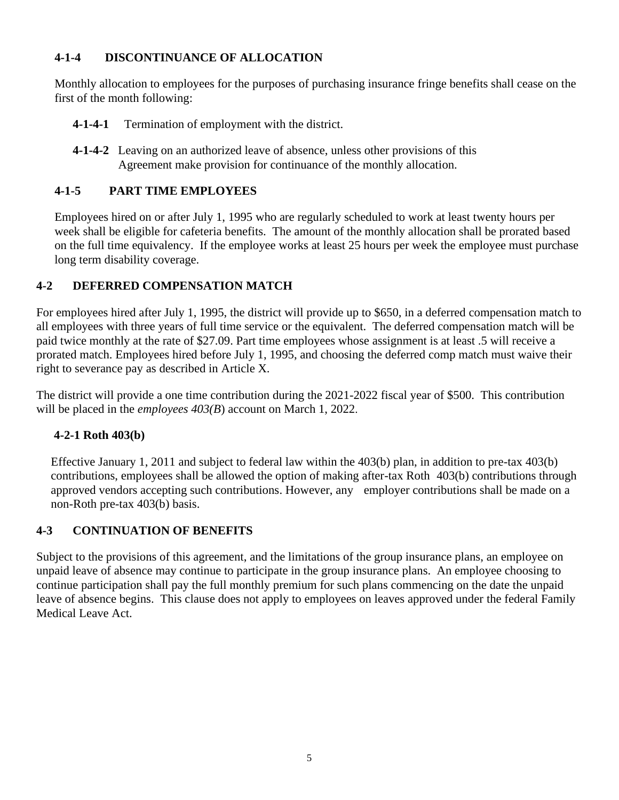## **4-1-4 DISCONTINUANCE OF ALLOCATION**

Monthly allocation to employees for the purposes of purchasing insurance fringe benefits shall cease on the first of the month following:

- **4-1-4-1** Termination of employment with the district.
- **4-1-4-2** Leaving on an authorized leave of absence, unless other provisions of this Agreement make provision for continuance of the monthly allocation.

## **4-1-5 PART TIME EMPLOYEES**

Employees hired on or after July 1, 1995 who are regularly scheduled to work at least twenty hours per week shall be eligible for cafeteria benefits. The amount of the monthly allocation shall be prorated based on the full time equivalency. If the employee works at least 25 hours per week the employee must purchase long term disability coverage.

## **4-2 DEFERRED COMPENSATION MATCH**

For employees hired after July 1, 1995, the district will provide up to \$650, in a deferred compensation match to all employees with three years of full time service or the equivalent. The deferred compensation match will be paid twice monthly at the rate of \$27.09. Part time employees whose assignment is at least .5 will receive a prorated match. Employees hired before July 1, 1995, and choosing the deferred comp match must waive their right to severance pay as described in Article X.

The district will provide a one time contribution during the 2021-2022 fiscal year of \$500. This contribution will be placed in the *employees 403(B*) account on March 1, 2022.

## **4-2-1 Roth 403(b)**

Effective January 1, 2011 and subject to federal law within the 403(b) plan, in addition to pre-tax 403(b) contributions, employees shall be allowed the option of making after-tax Roth 403(b) contributions through approved vendors accepting such contributions. However, any employer contributions shall be made on a non-Roth pre-tax 403(b) basis.

## **4-3 CONTINUATION OF BENEFITS**

Subject to the provisions of this agreement, and the limitations of the group insurance plans, an employee on unpaid leave of absence may continue to participate in the group insurance plans. An employee choosing to continue participation shall pay the full monthly premium for such plans commencing on the date the unpaid leave of absence begins. This clause does not apply to employees on leaves approved under the federal Family Medical Leave Act.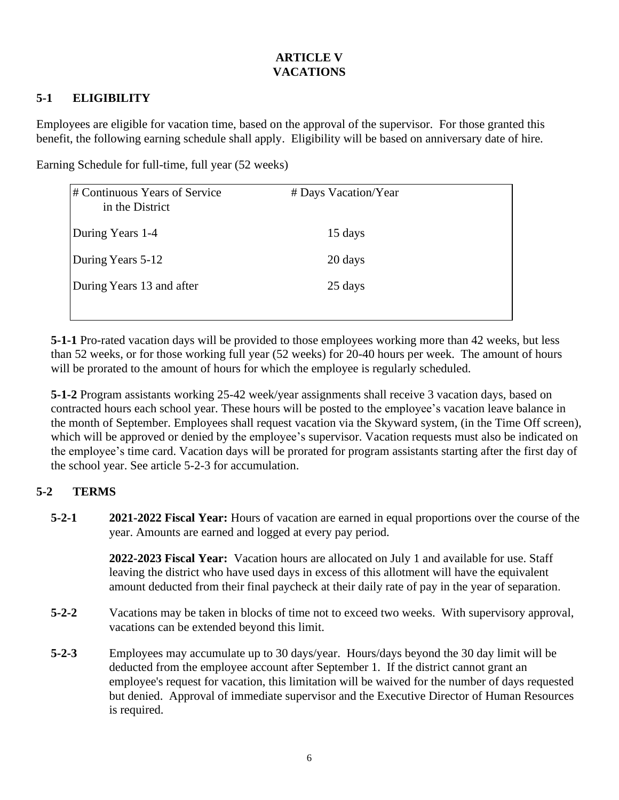## **ARTICLE V VACATIONS**

## **5-1 ELIGIBILITY**

Employees are eligible for vacation time, based on the approval of the supervisor. For those granted this benefit, the following earning schedule shall apply. Eligibility will be based on anniversary date of hire.

Earning Schedule for full-time, full year (52 weeks)

| # Continuous Years of Service<br>in the District | # Days Vacation/Year |  |
|--------------------------------------------------|----------------------|--|
| During Years 1-4                                 | 15 days              |  |
| During Years 5-12                                | 20 days              |  |
| During Years 13 and after                        | 25 days              |  |
|                                                  |                      |  |

**5-1-1** Pro-rated vacation days will be provided to those employees working more than 42 weeks, but less than 52 weeks, or for those working full year (52 weeks) for 20-40 hours per week. The amount of hours will be prorated to the amount of hours for which the employee is regularly scheduled.

**5-1-2** Program assistants working 25-42 week/year assignments shall receive 3 vacation days, based on contracted hours each school year. These hours will be posted to the employee's vacation leave balance in the month of September. Employees shall request vacation via the Skyward system, (in the Time Off screen), which will be approved or denied by the employee's supervisor. Vacation requests must also be indicated on the employee's time card. Vacation days will be prorated for program assistants starting after the first day of the school year. See article 5-2-3 for accumulation.

## **5-2 TERMS**

**5-2-1 2021-2022 Fiscal Year:** Hours of vacation are earned in equal proportions over the course of the year. Amounts are earned and logged at every pay period.

> **2022-2023 Fiscal Year:** Vacation hours are allocated on July 1 and available for use. Staff leaving the district who have used days in excess of this allotment will have the equivalent amount deducted from their final paycheck at their daily rate of pay in the year of separation.

- **5-2-2** Vacations may be taken in blocks of time not to exceed two weeks. With supervisory approval, vacations can be extended beyond this limit.
- **5-2-3** Employees may accumulate up to 30 days/year. Hours/days beyond the 30 day limit will be deducted from the employee account after September 1. If the district cannot grant an employee's request for vacation, this limitation will be waived for the number of days requested but denied. Approval of immediate supervisor and the Executive Director of Human Resources is required.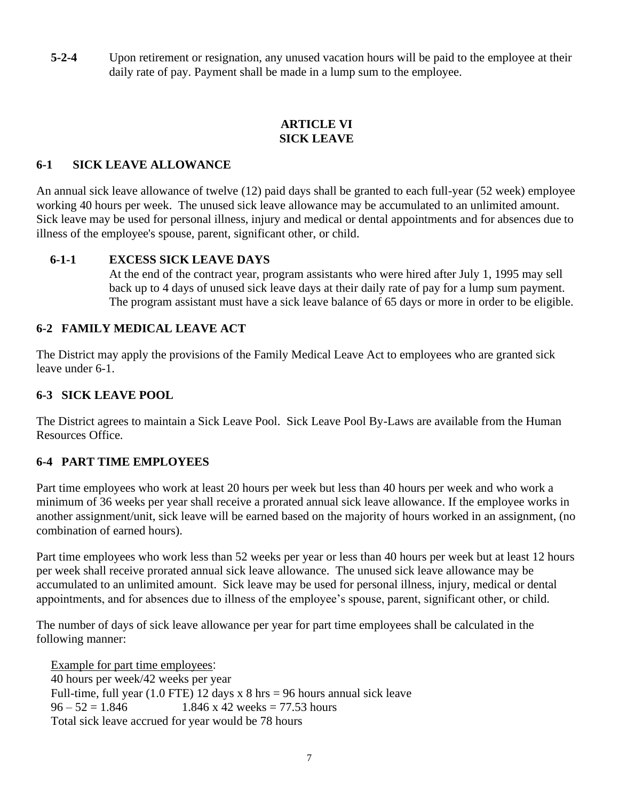**5-2-4** Upon retirement or resignation, any unused vacation hours will be paid to the employee at their daily rate of pay. Payment shall be made in a lump sum to the employee.

## **ARTICLE VI SICK LEAVE**

## **6-1 SICK LEAVE ALLOWANCE**

An annual sick leave allowance of twelve (12) paid days shall be granted to each full-year (52 week) employee working 40 hours per week. The unused sick leave allowance may be accumulated to an unlimited amount. Sick leave may be used for personal illness, injury and medical or dental appointments and for absences due to illness of the employee's spouse, parent, significant other, or child.

#### **6-1-1 EXCESS SICK LEAVE DAYS**

At the end of the contract year, program assistants who were hired after July 1, 1995 may sell back up to 4 days of unused sick leave days at their daily rate of pay for a lump sum payment. The program assistant must have a sick leave balance of 65 days or more in order to be eligible.

## **6-2 FAMILY MEDICAL LEAVE ACT**

The District may apply the provisions of the Family Medical Leave Act to employees who are granted sick leave under 6-1.

#### **6-3 SICK LEAVE POOL**

The District agrees to maintain a Sick Leave Pool. Sick Leave Pool By-Laws are available from the Human Resources Office.

## **6-4 PART TIME EMPLOYEES**

Part time employees who work at least 20 hours per week but less than 40 hours per week and who work a minimum of 36 weeks per year shall receive a prorated annual sick leave allowance. If the employee works in another assignment/unit, sick leave will be earned based on the majority of hours worked in an assignment, (no combination of earned hours).

Part time employees who work less than 52 weeks per year or less than 40 hours per week but at least 12 hours per week shall receive prorated annual sick leave allowance. The unused sick leave allowance may be accumulated to an unlimited amount. Sick leave may be used for personal illness, injury, medical or dental appointments, and for absences due to illness of the employee's spouse, parent, significant other, or child.

The number of days of sick leave allowance per year for part time employees shall be calculated in the following manner:

Example for part time employees: 40 hours per week/42 weeks per year Full-time, full year  $(1.0$  FTE) 12 days x 8 hrs = 96 hours annual sick leave  $96 - 52 = 1.846$  1.846 x 42 weeks = 77.53 hours Total sick leave accrued for year would be 78 hours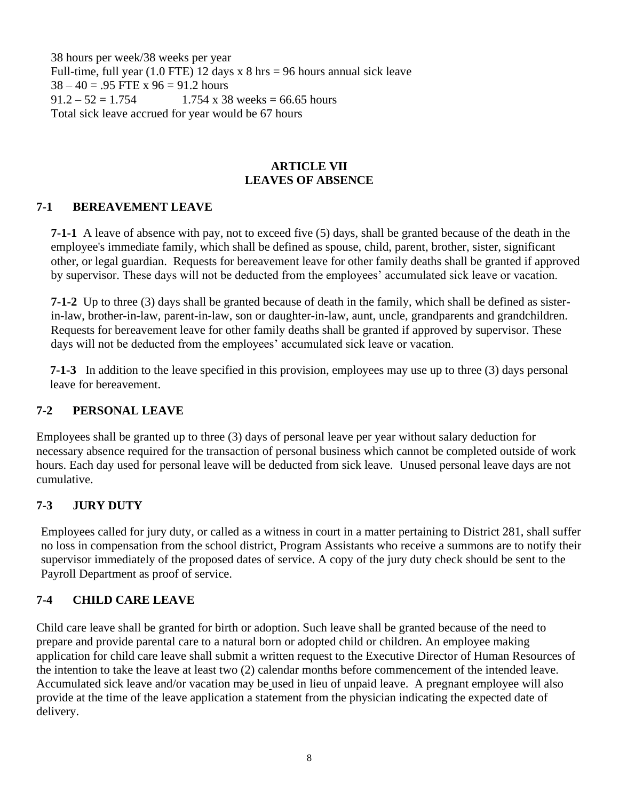38 hours per week/38 weeks per year Full-time, full year  $(1.0$  FTE) 12 days x 8 hrs = 96 hours annual sick leave  $38 - 40 = 0.95$  FTE x  $96 = 91.2$  hours  $91.2 - 52 = 1.754$  1.754 x 38 weeks = 66.65 hours Total sick leave accrued for year would be 67 hours

#### **ARTICLE VII LEAVES OF ABSENCE**

## **7-1 BEREAVEMENT LEAVE**

**7-1-1** A leave of absence with pay, not to exceed five (5) days, shall be granted because of the death in the employee's immediate family, which shall be defined as spouse, child, parent, brother, sister, significant other, or legal guardian. Requests for bereavement leave for other family deaths shall be granted if approved by supervisor. These days will not be deducted from the employees' accumulated sick leave or vacation.

**7-1-2** Up to three (3) days shall be granted because of death in the family, which shall be defined as sisterin-law, brother-in-law, parent-in-law, son or daughter-in-law, aunt, uncle, grandparents and grandchildren. Requests for bereavement leave for other family deaths shall be granted if approved by supervisor. These days will not be deducted from the employees' accumulated sick leave or vacation.

**7-1-3** In addition to the leave specified in this provision, employees may use up to three (3) days personal leave for bereavement.

## **7-2 PERSONAL LEAVE**

Employees shall be granted up to three (3) days of personal leave per year without salary deduction for necessary absence required for the transaction of personal business which cannot be completed outside of work hours. Each day used for personal leave will be deducted from sick leave. Unused personal leave days are not cumulative.

## **7-3 JURY DUTY**

Employees called for jury duty, or called as a witness in court in a matter pertaining to District 281, shall suffer no loss in compensation from the school district, Program Assistants who receive a summons are to notify their supervisor immediately of the proposed dates of service. A copy of the jury duty check should be sent to the Payroll Department as proof of service.

## **7-4 CHILD CARE LEAVE**

Child care leave shall be granted for birth or adoption. Such leave shall be granted because of the need to prepare and provide parental care to a natural born or adopted child or children. An employee making application for child care leave shall submit a written request to the Executive Director of Human Resources of the intention to take the leave at least two (2) calendar months before commencement of the intended leave. Accumulated sick leave and/or vacation may be used in lieu of unpaid leave. A pregnant employee will also provide at the time of the leave application a statement from the physician indicating the expected date of delivery.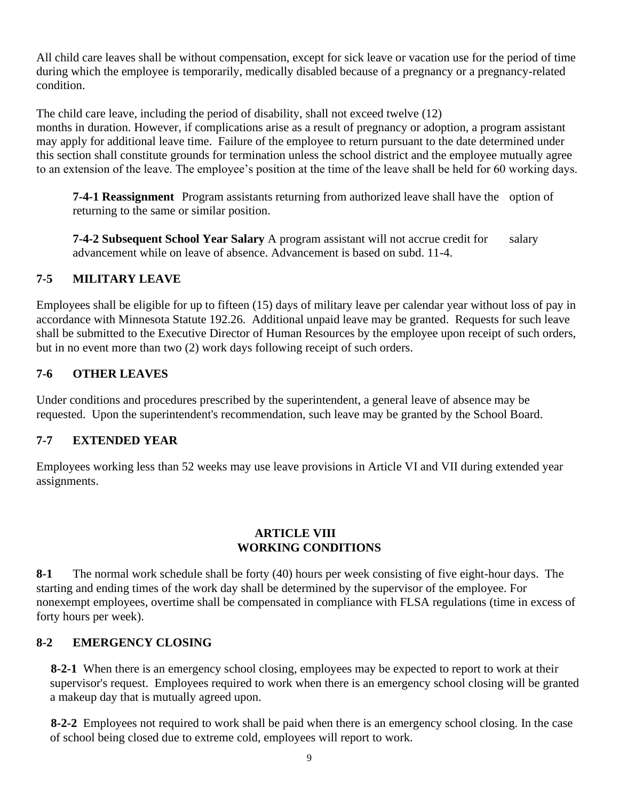All child care leaves shall be without compensation, except for sick leave or vacation use for the period of time during which the employee is temporarily, medically disabled because of a pregnancy or a pregnancy-related condition.

The child care leave, including the period of disability, shall not exceed twelve (12) months in duration. However, if complications arise as a result of pregnancy or adoption, a program assistant may apply for additional leave time. Failure of the employee to return pursuant to the date determined under this section shall constitute grounds for termination unless the school district and the employee mutually agree to an extension of the leave. The employee's position at the time of the leave shall be held for 60 working days.

**7-4-1 Reassignment** Program assistants returning from authorized leave shall have the option of returning to the same or similar position.

**7-4-2 Subsequent School Year Salary** A program assistant will not accrue credit for salary advancement while on leave of absence. Advancement is based on subd. 11-4.

## **7-5 MILITARY LEAVE**

Employees shall be eligible for up to fifteen (15) days of military leave per calendar year without loss of pay in accordance with Minnesota Statute 192.26. Additional unpaid leave may be granted. Requests for such leave shall be submitted to the Executive Director of Human Resources by the employee upon receipt of such orders, but in no event more than two (2) work days following receipt of such orders.

## **7-6 OTHER LEAVES**

Under conditions and procedures prescribed by the superintendent, a general leave of absence may be requested. Upon the superintendent's recommendation, such leave may be granted by the School Board.

## **7-7 EXTENDED YEAR**

Employees working less than 52 weeks may use leave provisions in Article VI and VII during extended year assignments.

#### **ARTICLE VIII WORKING CONDITIONS**

**8-1** The normal work schedule shall be forty (40) hours per week consisting of five eight-hour days. The starting and ending times of the work day shall be determined by the supervisor of the employee. For nonexempt employees, overtime shall be compensated in compliance with FLSA regulations (time in excess of forty hours per week).

## **8-2 EMERGENCY CLOSING**

**8-2-1** When there is an emergency school closing, employees may be expected to report to work at their supervisor's request. Employees required to work when there is an emergency school closing will be granted a makeup day that is mutually agreed upon.

**8-2-2** Employees not required to work shall be paid when there is an emergency school closing. In the case of school being closed due to extreme cold, employees will report to work.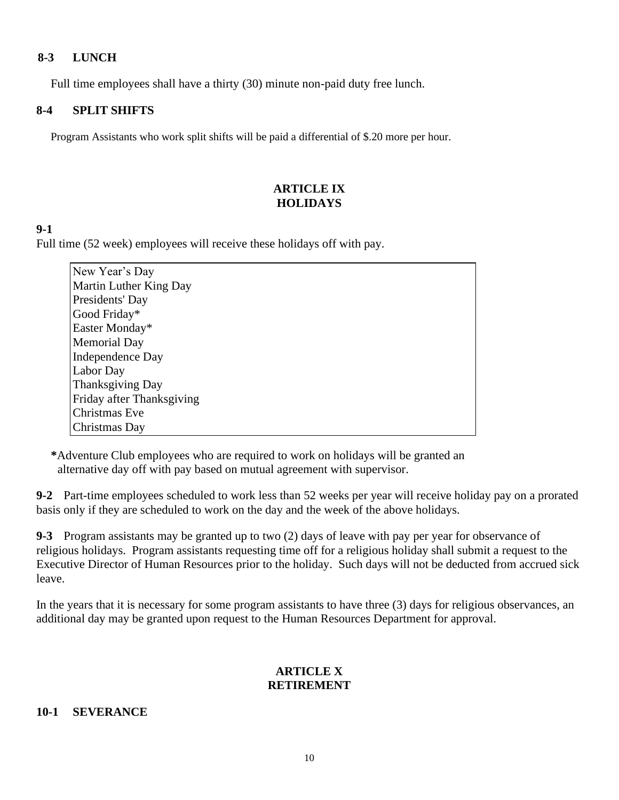#### **8-3 LUNCH**

Full time employees shall have a thirty (30) minute non-paid duty free lunch.

#### **8-4 SPLIT SHIFTS**

Program Assistants who work split shifts will be paid a differential of \$.20 more per hour.

## **ARTICLE IX HOLIDAYS**

#### **9-1**

Full time (52 week) employees will receive these holidays off with pay.

| New Year's Day            |
|---------------------------|
| Martin Luther King Day    |
| Presidents' Day           |
| Good Friday*              |
| Easter Monday*            |
| <b>Memorial Day</b>       |
| Independence Day          |
| Labor Day                 |
| Thanksgiving Day          |
| Friday after Thanksgiving |
| Christmas Eve             |
| Christmas Day             |

**\***Adventure Club employees who are required to work on holidays will be granted an alternative day off with pay based on mutual agreement with supervisor.

**9-2** Part-time employees scheduled to work less than 52 weeks per year will receive holiday pay on a prorated basis only if they are scheduled to work on the day and the week of the above holidays.

**9-3** Program assistants may be granted up to two (2) days of leave with pay per year for observance of religious holidays. Program assistants requesting time off for a religious holiday shall submit a request to the Executive Director of Human Resources prior to the holiday. Such days will not be deducted from accrued sick leave.

In the years that it is necessary for some program assistants to have three (3) days for religious observances, an additional day may be granted upon request to the Human Resources Department for approval.

#### **ARTICLE X RETIREMENT**

#### **10-1 SEVERANCE**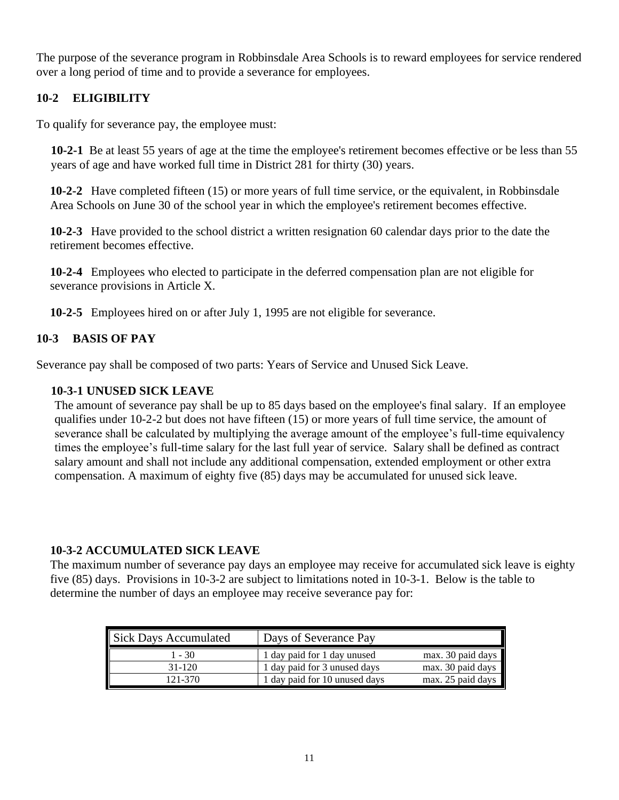The purpose of the severance program in Robbinsdale Area Schools is to reward employees for service rendered over a long period of time and to provide a severance for employees.

## **10-2 ELIGIBILITY**

To qualify for severance pay, the employee must:

**10-2-1** Be at least 55 years of age at the time the employee's retirement becomes effective or be less than 55 years of age and have worked full time in District 281 for thirty (30) years.

**10-2-2** Have completed fifteen (15) or more years of full time service, or the equivalent, in Robbinsdale Area Schools on June 30 of the school year in which the employee's retirement becomes effective.

**10-2-3** Have provided to the school district a written resignation 60 calendar days prior to the date the retirement becomes effective.

**10-2-4** Employees who elected to participate in the deferred compensation plan are not eligible for severance provisions in Article X.

**10-2-5** Employees hired on or after July 1, 1995 are not eligible for severance.

## **10-3 BASIS OF PAY**

Severance pay shall be composed of two parts: Years of Service and Unused Sick Leave.

## **10-3-1 UNUSED SICK LEAVE**

The amount of severance pay shall be up to 85 days based on the employee's final salary. If an employee qualifies under 10-2-2 but does not have fifteen (15) or more years of full time service, the amount of severance shall be calculated by multiplying the average amount of the employee's full-time equivalency times the employee's full-time salary for the last full year of service. Salary shall be defined as contract salary amount and shall not include any additional compensation, extended employment or other extra compensation. A maximum of eighty five (85) days may be accumulated for unused sick leave.

## **10-3-2 ACCUMULATED SICK LEAVE**

The maximum number of severance pay days an employee may receive for accumulated sick leave is eighty five (85) days. Provisions in 10-3-2 are subject to limitations noted in 10-3-1. Below is the table to determine the number of days an employee may receive severance pay for:

| <b>Sick Days Accumulated</b> | Days of Severance Pay         |                   |
|------------------------------|-------------------------------|-------------------|
| 1 - 30                       | 1 day paid for 1 day unused   | max. 30 paid days |
| $31 - 120$                   | 1 day paid for 3 unused days  | max. 30 paid days |
| 121-370                      | 1 day paid for 10 unused days | max. 25 paid days |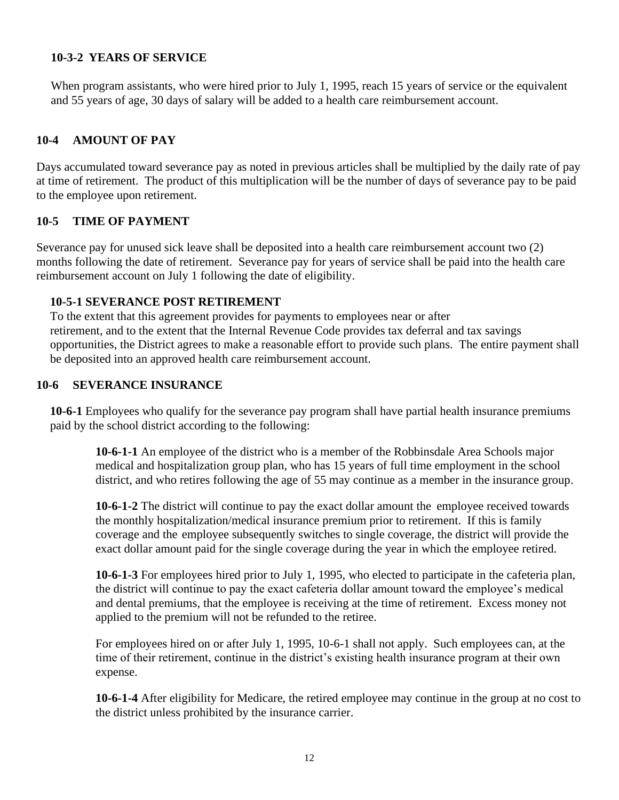#### **10-3-2 YEARS OF SERVICE**

When program assistants, who were hired prior to July 1, 1995, reach 15 years of service or the equivalent and 55 years of age, 30 days of salary will be added to a health care reimbursement account.

#### **10-4 AMOUNT OF PAY**

Days accumulated toward severance pay as noted in previous articles shall be multiplied by the daily rate of pay at time of retirement. The product of this multiplication will be the number of days of severance pay to be paid to the employee upon retirement.

#### **10-5 TIME OF PAYMENT**

Severance pay for unused sick leave shall be deposited into a health care reimbursement account two (2) months following the date of retirement. Severance pay for years of service shall be paid into the health care reimbursement account on July 1 following the date of eligibility.

#### **10-5-1 SEVERANCE POST RETIREMENT**

To the extent that this agreement provides for payments to employees near or after retirement, and to the extent that the Internal Revenue Code provides tax deferral and tax savings opportunities, the District agrees to make a reasonable effort to provide such plans. The entire payment shall be deposited into an approved health care reimbursement account.

#### **10-6 SEVERANCE INSURANCE**

**10-6-1** Employees who qualify for the severance pay program shall have partial health insurance premiums paid by the school district according to the following:

**10-6-1-1** An employee of the district who is a member of the Robbinsdale Area Schools major medical and hospitalization group plan, who has 15 years of full time employment in the school district, and who retires following the age of 55 may continue as a member in the insurance group.

**10-6-1-2** The district will continue to pay the exact dollar amount the employee received towards the monthly hospitalization/medical insurance premium prior to retirement. If this is family coverage and the employee subsequently switches to single coverage, the district will provide the exact dollar amount paid for the single coverage during the year in which the employee retired.

**10-6-1-3** For employees hired prior to July 1, 1995, who elected to participate in the cafeteria plan, the district will continue to pay the exact cafeteria dollar amount toward the employee's medical and dental premiums, that the employee is receiving at the time of retirement. Excess money not applied to the premium will not be refunded to the retiree.

For employees hired on or after July 1, 1995, 10-6-1 shall not apply. Such employees can, at the time of their retirement, continue in the district's existing health insurance program at their own expense.

**10-6-1-4** After eligibility for Medicare, the retired employee may continue in the group at no cost to the district unless prohibited by the insurance carrier.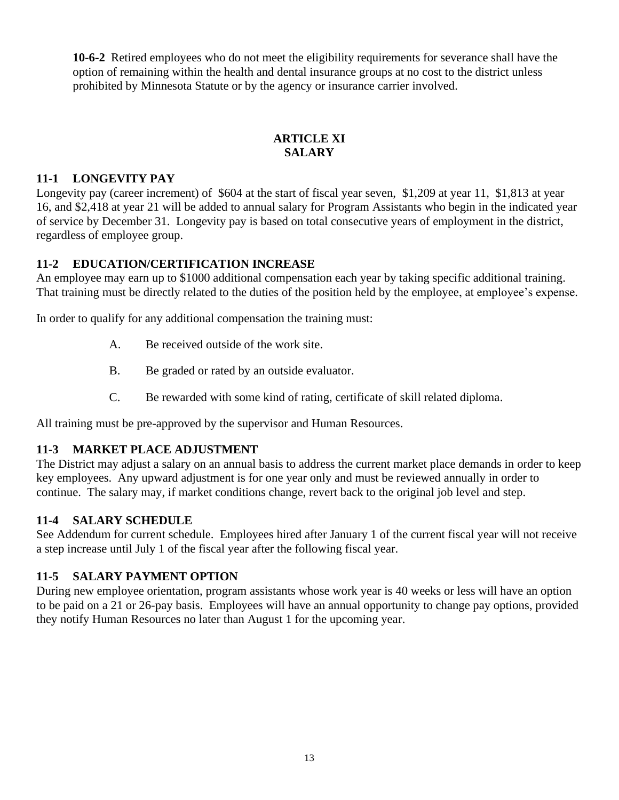**10-6-2** Retired employees who do not meet the eligibility requirements for severance shall have the option of remaining within the health and dental insurance groups at no cost to the district unless prohibited by Minnesota Statute or by the agency or insurance carrier involved.

## **ARTICLE XI SALARY**

## **11-1 LONGEVITY PAY**

Longevity pay (career increment) of \$604 at the start of fiscal year seven, \$1,209 at year 11, \$1,813 at year 16, and \$2,418 at year 21 will be added to annual salary for Program Assistants who begin in the indicated year of service by December 31. Longevity pay is based on total consecutive years of employment in the district, regardless of employee group.

## **11-2 EDUCATION/CERTIFICATION INCREASE**

An employee may earn up to \$1000 additional compensation each year by taking specific additional training. That training must be directly related to the duties of the position held by the employee, at employee's expense.

In order to qualify for any additional compensation the training must:

- A. Be received outside of the work site.
- B. Be graded or rated by an outside evaluator.
- C. Be rewarded with some kind of rating, certificate of skill related diploma.

All training must be pre-approved by the supervisor and Human Resources.

## **11-3 MARKET PLACE ADJUSTMENT**

The District may adjust a salary on an annual basis to address the current market place demands in order to keep key employees. Any upward adjustment is for one year only and must be reviewed annually in order to continue. The salary may, if market conditions change, revert back to the original job level and step.

## **11-4 SALARY SCHEDULE**

See Addendum for current schedule. Employees hired after January 1 of the current fiscal year will not receive a step increase until July 1 of the fiscal year after the following fiscal year.

## **11-5 SALARY PAYMENT OPTION**

During new employee orientation, program assistants whose work year is 40 weeks or less will have an option to be paid on a 21 or 26-pay basis. Employees will have an annual opportunity to change pay options, provided they notify Human Resources no later than August 1 for the upcoming year.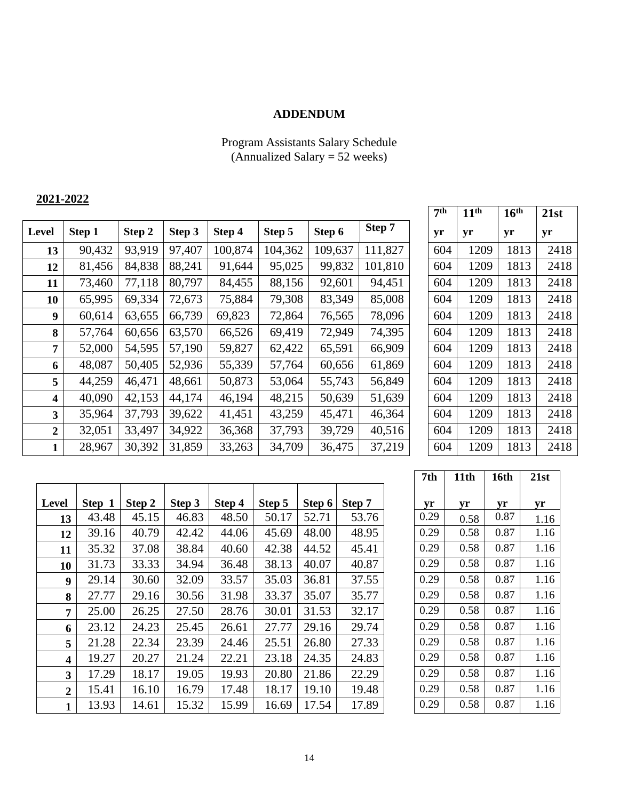## **ADDENDUM**

#### Program Assistants Salary Schedule (Annualized Salary = 52 weeks)

## **2021-2022**

|                |        |        |        |         |         |         |         |     | . .  | T.   | - 196 |
|----------------|--------|--------|--------|---------|---------|---------|---------|-----|------|------|-------|
| Level          | Step 1 | Step 2 | Step 3 | Step 4  | Step 5  | Step 6  | Step 7  | yr  | yr   | yr   | yr    |
| 13             | 90,432 | 93,919 | 97,407 | 100,874 | 104,362 | 109,637 | 111,827 | 604 | 1209 | 1813 | 2418  |
| 12             | 81,456 | 84,838 | 88,241 | 91,644  | 95,025  | 99,832  | 101,810 | 604 | 1209 | 1813 | 2418  |
| 11             | 73,460 | 77,118 | 80,797 | 84,455  | 88,156  | 92,601  | 94,451  | 604 | 1209 | 1813 | 2418  |
| 10             | 65,995 | 69,334 | 72,673 | 75,884  | 79,308  | 83,349  | 85,008  | 604 | 1209 | 1813 | 2418  |
| 9              | 60,614 | 63,655 | 66,739 | 69,823  | 72,864  | 76,565  | 78,096  | 604 | 1209 | 1813 | 2418  |
| 8              | 57,764 | 60,656 | 63,570 | 66,526  | 69,419  | 72,949  | 74,395  | 604 | 1209 | 1813 | 2418  |
| 7              | 52,000 | 54,595 | 57,190 | 59,827  | 62,422  | 65,591  | 66,909  | 604 | 1209 | 1813 | 2418  |
| 6              | 48,087 | 50,405 | 52,936 | 55,339  | 57,764  | 60,656  | 61,869  | 604 | 1209 | 1813 | 2418  |
| 5              | 44,259 | 46,471 | 48,661 | 50,873  | 53,064  | 55,743  | 56,849  | 604 | 1209 | 1813 | 2418  |
| 4              | 40,090 | 42,153 | 44,174 | 46,194  | 48,215  | 50,639  | 51,639  | 604 | 1209 | 1813 | 2418  |
| 3              | 35,964 | 37,793 | 39,622 | 41,451  | 43,259  | 45,471  | 46,364  | 604 | 1209 | 1813 | 2418  |
| $\overline{2}$ | 32,051 | 33,497 | 34,922 | 36,368  | 37,793  | 39,729  | 40,516  | 604 | 1209 | 1813 | 2418  |
| 1              | 28,967 | 30,392 | 31,859 | 33,263  | 34,709  | 36,475  | 37,219  | 604 | 1209 | 1813 | 2418  |

| 7 <sup>th</sup> | 11 <sup>th</sup> | 16 <sup>th</sup> | 21st |
|-----------------|------------------|------------------|------|
| yr              | yr               | yr               | yr   |
| 604             | 1209             | 1813             | 2418 |
| 604             | 1209             | 1813             | 2418 |
| 604             | 1209             | 1813             | 2418 |
| 604             | 1209             | 1813             | 2418 |
| 604             | 1209             | 1813             | 2418 |
| 604             | 1209             | 1813             | 2418 |
| 604             | 1209             | 1813             | 2418 |
| 604             | 1209             | 1813             | 2418 |
| 604             | 1209             | 1813             | 2418 |
| 604             | 1209             | 1813             | 2418 |
| 604             | 1209             | 1813             | 2418 |
| 604             | 1209             | 1813             | 2418 |
| 604             | 1209             | 1813             | 2418 |

| Level                   | Step 1 | Step 2 | Step 3 | Step 4 | Step 5 | Step 6 | Step 7 | yr   | yr   | yr   | yr   |
|-------------------------|--------|--------|--------|--------|--------|--------|--------|------|------|------|------|
| 13                      | 43.48  | 45.15  | 46.83  | 48.50  | 50.17  | 52.71  | 53.76  | 0.29 | 0.58 | 0.87 | 1.16 |
| 12                      | 39.16  | 40.79  | 42.42  | 44.06  | 45.69  | 48.00  | 48.95  | 0.29 | 0.58 | 0.87 | 1.16 |
| 11                      | 35.32  | 37.08  | 38.84  | 40.60  | 42.38  | 44.52  | 45.41  | 0.29 | 0.58 | 0.87 | 1.16 |
| 10                      | 31.73  | 33.33  | 34.94  | 36.48  | 38.13  | 40.07  | 40.87  | 0.29 | 0.58 | 0.87 | 1.16 |
| 9                       | 29.14  | 30.60  | 32.09  | 33.57  | 35.03  | 36.81  | 37.55  | 0.29 | 0.58 | 0.87 | 1.16 |
| 8                       | 27.77  | 29.16  | 30.56  | 31.98  | 33.37  | 35.07  | 35.77  | 0.29 | 0.58 | 0.87 | 1.16 |
| 7                       | 25.00  | 26.25  | 27.50  | 28.76  | 30.01  | 31.53  | 32.17  | 0.29 | 0.58 | 0.87 | 1.16 |
| 6                       | 23.12  | 24.23  | 25.45  | 26.61  | 27.77  | 29.16  | 29.74  | 0.29 | 0.58 | 0.87 | 1.16 |
| 5                       | 21.28  | 22.34  | 23.39  | 24.46  | 25.51  | 26.80  | 27.33  | 0.29 | 0.58 | 0.87 | 1.16 |
| $\overline{\mathbf{4}}$ | 19.27  | 20.27  | 21.24  | 22.21  | 23.18  | 24.35  | 24.83  | 0.29 | 0.58 | 0.87 | 1.16 |
| 3                       | 17.29  | 18.17  | 19.05  | 19.93  | 20.80  | 21.86  | 22.29  | 0.29 | 0.58 | 0.87 | 1.16 |
| $\boldsymbol{2}$        | 15.41  | 16.10  | 16.79  | 17.48  | 18.17  | 19.10  | 19.48  | 0.29 | 0.58 | 0.87 | 1.16 |
| $\mathbf{1}$            | 13.93  | 14.61  | 15.32  | 15.99  | 16.69  | 17.54  | 17.89  | 0.29 | 0.58 | 0.87 | 1.16 |

| 7th  | 11th | 16th | 21st |
|------|------|------|------|
|      |      |      |      |
| yr   | yr   | yr   | yr   |
| 0.29 | 0.58 | 0.87 | 1.16 |
| 0.29 | 0.58 | 0.87 | 1.16 |
| 0.29 | 0.58 | 0.87 | 1.16 |
| 0.29 | 0.58 | 0.87 | 1.16 |
| 0.29 | 0.58 | 0.87 | 1.16 |
| 0.29 | 0.58 | 0.87 | 1.16 |
| 0.29 | 0.58 | 0.87 | 1.16 |
| 0.29 | 0.58 | 0.87 | 1.16 |
| 0.29 | 0.58 | 0.87 | 1.16 |
| 0.29 | 0.58 | 0.87 | 1.16 |
| 0.29 | 0.58 | 0.87 | 1.16 |
| 0.29 | 0.58 | 0.87 | 1.16 |
| 0.29 | 0.58 | 0.87 | 1.16 |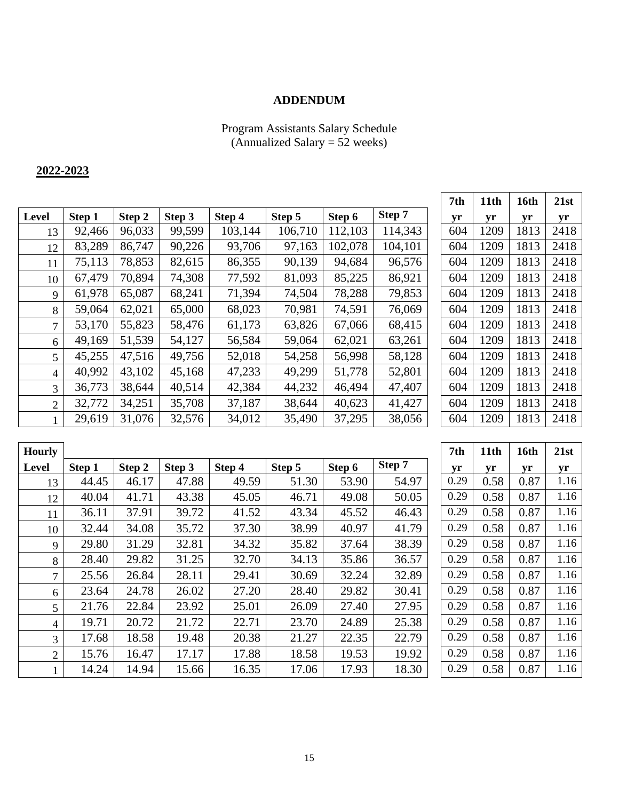## **ADDENDUM**

#### Program Assistants Salary Schedule (Annualized Salary = 52 weeks)

## **2022-2023**

|                |        |        |        |         |         |         |         | 7 U.H | 11tu | Toru | 41SU |
|----------------|--------|--------|--------|---------|---------|---------|---------|-------|------|------|------|
| Level          | Step 1 | Step 2 | Step 3 | Step 4  | Step 5  | Step 6  | Step 7  | yr    | yr   | yr   | yr   |
| 13             | 92,466 | 96,033 | 99,599 | 103,144 | 106,710 | 112,103 | 114,343 | 604   | 1209 | 1813 | 2418 |
| 12             | 83,289 | 86,747 | 90,226 | 93,706  | 97,163  | 102,078 | 104,101 | 604   | 1209 | 1813 | 2418 |
| 11             | 75,113 | 78,853 | 82,615 | 86,355  | 90,139  | 94,684  | 96,576  | 604   | 1209 | 1813 | 2418 |
| 10             | 67,479 | 70,894 | 74,308 | 77,592  | 81,093  | 85,225  | 86,921  | 604   | 1209 | 1813 | 2418 |
| 9              | 61,978 | 65,087 | 68,241 | 71,394  | 74,504  | 78,288  | 79,853  | 604   | 1209 | 1813 | 2418 |
| 8              | 59,064 | 62,021 | 65,000 | 68,023  | 70,981  | 74,591  | 76,069  | 604   | 1209 | 1813 | 2418 |
| 7              | 53,170 | 55,823 | 58,476 | 61,173  | 63,826  | 67,066  | 68,415  | 604   | 1209 | 1813 | 2418 |
| 6              | 49,169 | 51,539 | 54,127 | 56,584  | 59,064  | 62,021  | 63,261  | 604   | 1209 | 1813 | 2418 |
| 5              | 45,255 | 47,516 | 49,756 | 52,018  | 54,258  | 56,998  | 58,128  | 604   | 1209 | 1813 | 2418 |
| 4              | 40,992 | 43,102 | 45,168 | 47,233  | 49,299  | 51,778  | 52,801  | 604   | 1209 | 1813 | 2418 |
| 3              | 36,773 | 38,644 | 40,514 | 42,384  | 44,232  | 46,494  | 47,407  | 604   | 1209 | 1813 | 2418 |
| $\overline{2}$ | 32,772 | 34,251 | 35,708 | 37,187  | 38,644  | 40,623  | 41,427  | 604   | 1209 | 1813 | 2418 |
|                | 29,619 | 31,076 | 32,576 | 34,012  | 35,490  | 37,295  | 38,056  | 604   | 1209 | 1813 | 2418 |

| 7th | 11th | 16th | 21st |
|-----|------|------|------|
| yr  | yr   | yr   | yr   |
| 604 | 1209 | 1813 | 2418 |
| 604 | 1209 | 1813 | 2418 |
| 604 | 1209 | 1813 | 2418 |
| 604 | 1209 | 1813 | 2418 |
| 604 | 1209 | 1813 | 2418 |
| 604 | 1209 | 1813 | 2418 |
| 604 | 1209 | 1813 | 2418 |
| 604 | 1209 | 1813 | 2418 |
| 604 | 1209 | 1813 | 2418 |
| 604 | 1209 | 1813 | 2418 |
| 604 | 1209 | 1813 | 2418 |
| 604 | 1209 | 1813 | 2418 |
| 604 | 1209 | 1813 | 2418 |

| <b>Hourly</b>  |        |        |        |        |        |        |        | 7th  | 11th | 16th | 21st |
|----------------|--------|--------|--------|--------|--------|--------|--------|------|------|------|------|
| <b>Level</b>   | Step 1 | Step 2 | Step 3 | Step 4 | Step 5 | Step 6 | Step 7 | yr   | yr   | yr   | yr   |
| 13             | 44.45  | 46.17  | 47.88  | 49.59  | 51.30  | 53.90  | 54.97  | 0.29 | 0.58 | 0.87 | 1.16 |
| 12             | 40.04  | 41.71  | 43.38  | 45.05  | 46.71  | 49.08  | 50.05  | 0.29 | 0.58 | 0.87 | 1.16 |
| 11             | 36.11  | 37.91  | 39.72  | 41.52  | 43.34  | 45.52  | 46.43  | 0.29 | 0.58 | 0.87 | 1.16 |
| 10             | 32.44  | 34.08  | 35.72  | 37.30  | 38.99  | 40.97  | 41.79  | 0.29 | 0.58 | 0.87 | 1.16 |
| 9              | 29.80  | 31.29  | 32.81  | 34.32  | 35.82  | 37.64  | 38.39  | 0.29 | 0.58 | 0.87 | 1.16 |
| 8              | 28.40  | 29.82  | 31.25  | 32.70  | 34.13  | 35.86  | 36.57  | 0.29 | 0.58 | 0.87 | 1.16 |
| $\tau$         | 25.56  | 26.84  | 28.11  | 29.41  | 30.69  | 32.24  | 32.89  | 0.29 | 0.58 | 0.87 | 1.16 |
| 6              | 23.64  | 24.78  | 26.02  | 27.20  | 28.40  | 29.82  | 30.41  | 0.29 | 0.58 | 0.87 | 1.16 |
| 5 <sup>5</sup> | 21.76  | 22.84  | 23.92  | 25.01  | 26.09  | 27.40  | 27.95  | 0.29 | 0.58 | 0.87 | 1.16 |
| $\overline{4}$ | 19.71  | 20.72  | 21.72  | 22.71  | 23.70  | 24.89  | 25.38  | 0.29 | 0.58 | 0.87 | 1.16 |
| 3              | 17.68  | 18.58  | 19.48  | 20.38  | 21.27  | 22.35  | 22.79  | 0.29 | 0.58 | 0.87 | 1.16 |
| $\overline{2}$ | 15.76  | 16.47  | 17.17  | 17.88  | 18.58  | 19.53  | 19.92  | 0.29 | 0.58 | 0.87 | 1.16 |
|                | 14.24  | 14.94  | 15.66  | 16.35  | 17.06  | 17.93  | 18.30  | 0.29 | 0.58 | 0.87 | 1.16 |

| 7th  | 11th | 16th | 21st |  |
|------|------|------|------|--|
| yr   | yr   | yr   | yr   |  |
| 0.29 | 0.58 | 0.87 | 1.16 |  |
| 0.29 | 0.58 | 0.87 | 1.16 |  |
| 0.29 | 0.58 | 0.87 | 1.16 |  |
| 0.29 | 0.58 | 0.87 | 1.16 |  |
| 0.29 | 0.58 | 0.87 | 1.16 |  |
| 0.29 | 0.58 | 0.87 | 1.16 |  |
| 0.29 | 0.58 | 0.87 | 1.16 |  |
| 0.29 | 0.58 | 0.87 | 1.16 |  |
| 0.29 | 0.58 | 0.87 | 1.16 |  |
| 0.29 | 0.58 | 0.87 | 1.16 |  |
| 0.29 | 0.58 | 0.87 | 1.16 |  |
| 0.29 | 0.58 | 0.87 | 1.16 |  |
| 0.29 | 0.58 | 0.87 | 1.16 |  |